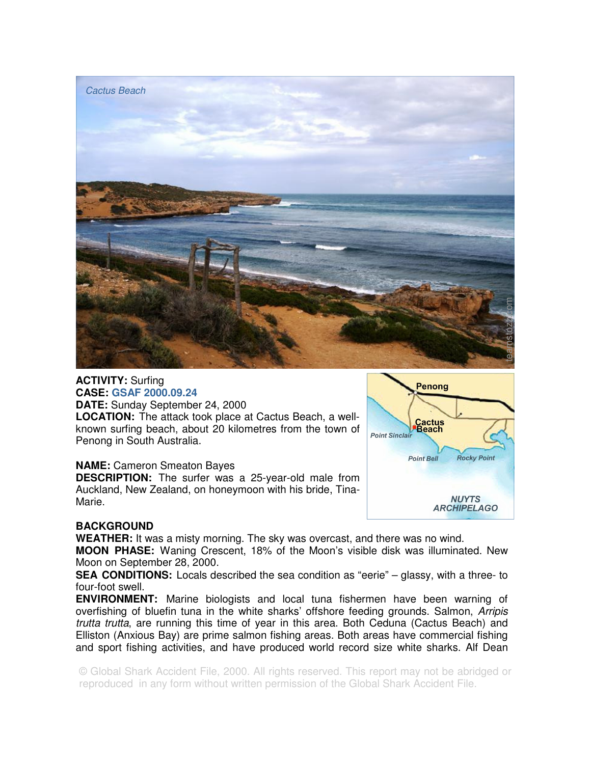

## **ACTIVITY:** Surfing **CASE: GSAF 2000.09.24**

**DATE:** Sunday September 24, 2000 **LOCATION:** The attack took place at Cactus Beach, a wellknown surfing beach, about 20 kilometres from the town of Penong in South Australia.

## **NAME:** Cameron Smeaton Bayes

**DESCRIPTION:** The surfer was a 25-year-old male from Auckland, New Zealand, on honeymoon with his bride, Tina-Marie.



## **BACKGROUND**

**WEATHER:** It was a misty morning. The sky was overcast, and there was no wind.

**MOON PHASE:** Waning Crescent, 18% of the Moon's visible disk was illuminated. New Moon on September 28, 2000.

**SEA CONDITIONS:** Locals described the sea condition as "eerie" – glassy, with a three- to four-foot swell.

**ENVIRONMENT:** Marine biologists and local tuna fishermen have been warning of overfishing of bluefin tuna in the white sharks' offshore feeding grounds. Salmon, Arripis trutta trutta, are running this time of year in this area. Both Ceduna (Cactus Beach) and Elliston (Anxious Bay) are prime salmon fishing areas. Both areas have commercial fishing and sport fishing activities, and have produced world record size white sharks. Alf Dean

© Global Shark Accident File, 2000. All rights reserved. This report may not be abridged or reproduced in any form without written permission of the Global Shark Accident File.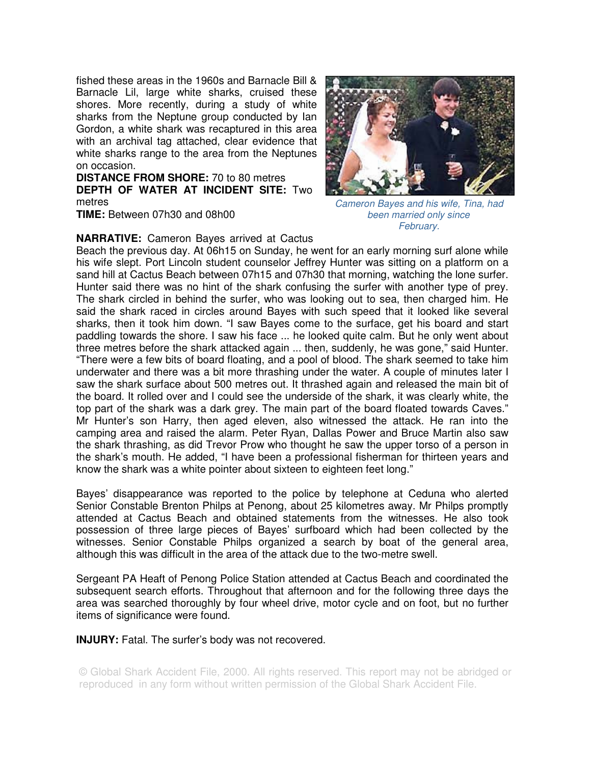fished these areas in the 1960s and Barnacle Bill & Barnacle Lil, large white sharks, cruised these shores. More recently, during a study of white sharks from the Neptune group conducted by Ian Gordon, a white shark was recaptured in this area with an archival tag attached, clear evidence that white sharks range to the area from the Neptunes on occasion.

**DISTANCE FROM SHORE:** 70 to 80 metres **DEPTH OF WATER AT INCIDENT SITE:** Two metres

**TIME:** Between 07h30 and 08h00

## **NARRATIVE:** Cameron Bayes arrived at Cactus



Cameron Bayes and his wife, Tina, had been married only since February.

Beach the previous day. At 06h15 on Sunday, he went for an early morning surf alone while his wife slept. Port Lincoln student counselor Jeffrey Hunter was sitting on a platform on a sand hill at Cactus Beach between 07h15 and 07h30 that morning, watching the lone surfer. Hunter said there was no hint of the shark confusing the surfer with another type of prey. The shark circled in behind the surfer, who was looking out to sea, then charged him. He said the shark raced in circles around Bayes with such speed that it looked like several sharks, then it took him down. "I saw Bayes come to the surface, get his board and start paddling towards the shore. I saw his face ... he looked quite calm. But he only went about three metres before the shark attacked again ... then, suddenly, he was gone," said Hunter. "There were a few bits of board floating, and a pool of blood. The shark seemed to take him underwater and there was a bit more thrashing under the water. A couple of minutes later I saw the shark surface about 500 metres out. It thrashed again and released the main bit of the board. It rolled over and I could see the underside of the shark, it was clearly white, the top part of the shark was a dark grey. The main part of the board floated towards Caves." Mr Hunter's son Harry, then aged eleven, also witnessed the attack. He ran into the camping area and raised the alarm. Peter Ryan, Dallas Power and Bruce Martin also saw the shark thrashing, as did Trevor Prow who thought he saw the upper torso of a person in the shark's mouth. He added, "I have been a professional fisherman for thirteen years and know the shark was a white pointer about sixteen to eighteen feet long."

Bayes' disappearance was reported to the police by telephone at Ceduna who alerted Senior Constable Brenton Philps at Penong, about 25 kilometres away. Mr Philps promptly attended at Cactus Beach and obtained statements from the witnesses. He also took possession of three large pieces of Bayes' surfboard which had been collected by the witnesses. Senior Constable Philps organized a search by boat of the general area, although this was difficult in the area of the attack due to the two-metre swell.

Sergeant PA Heaft of Penong Police Station attended at Cactus Beach and coordinated the subsequent search efforts. Throughout that afternoon and for the following three days the area was searched thoroughly by four wheel drive, motor cycle and on foot, but no further items of significance were found.

**INJURY:** Fatal. The surfer's body was not recovered.

© Global Shark Accident File, 2000. All rights reserved. This report may not be abridged or reproduced in any form without written permission of the Global Shark Accident File.